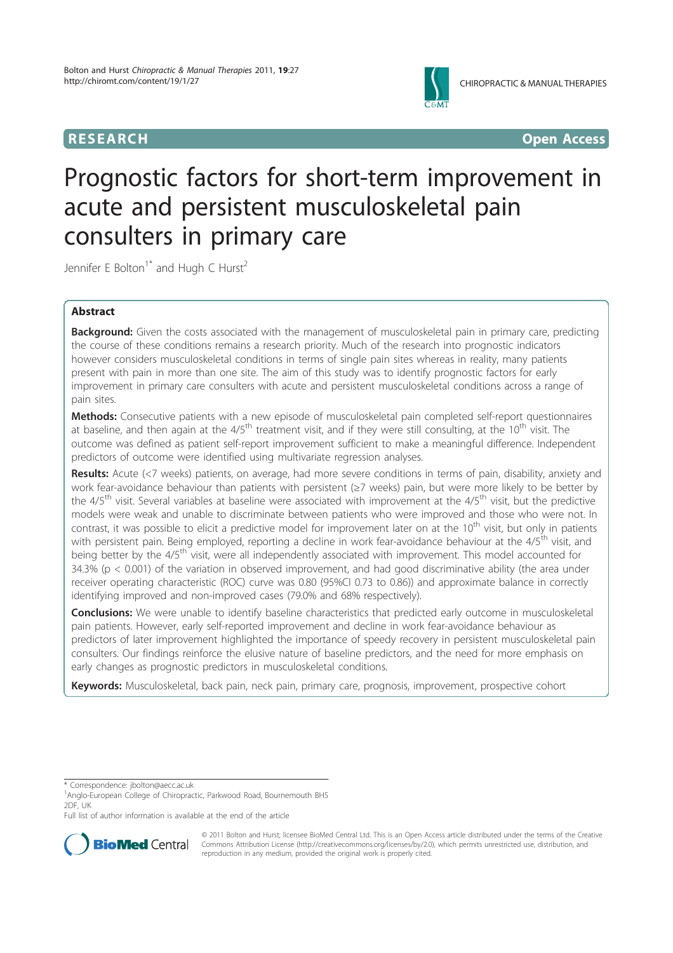# RESEARCH Open Access



# Prognostic factors for short-term improvement in acute and persistent musculoskeletal pain consulters in primary care

Jennifer E Bolton<sup>1\*</sup> and Hugh C Hurst<sup>2</sup>

# Abstract

Background: Given the costs associated with the management of musculoskeletal pain in primary care, predicting the course of these conditions remains a research priority. Much of the research into prognostic indicators however considers musculoskeletal conditions in terms of single pain sites whereas in reality, many patients present with pain in more than one site. The aim of this study was to identify prognostic factors for early improvement in primary care consulters with acute and persistent musculoskeletal conditions across a range of pain sites.

Methods: Consecutive patients with a new episode of musculoskeletal pain completed self-report questionnaires at baseline, and then again at the  $4/5<sup>th</sup>$  treatment visit, and if they were still consulting, at the  $10<sup>th</sup>$  visit. The outcome was defined as patient self-report improvement sufficient to make a meaningful difference. Independent predictors of outcome were identified using multivariate regression analyses.

Results: Acute (<7 weeks) patients, on average, had more severe conditions in terms of pain, disability, anxiety and work fear-avoidance behaviour than patients with persistent (≥7 weeks) pain, but were more likely to be better by the 4/5<sup>th</sup> visit. Several variables at baseline were associated with improvement at the 4/5<sup>th</sup> visit, but the predictive models were weak and unable to discriminate between patients who were improved and those who were not. In contrast, it was possible to elicit a predictive model for improvement later on at the 10<sup>th</sup> visit, but only in patients with persistent pain. Being employed, reporting a decline in work fear-avoidance behaviour at the 4/5<sup>th</sup> visit, and being better by the 4/5<sup>th</sup> visit, were all independently associated with improvement. This model accounted for  $34.3\%$  (p < 0.001) of the variation in observed improvement, and had good discriminative ability (the area under receiver operating characteristic (ROC) curve was 0.80 (95%CI 0.73 to 0.86)) and approximate balance in correctly identifying improved and non-improved cases (79.0% and 68% respectively).

Conclusions: We were unable to identify baseline characteristics that predicted early outcome in musculoskeletal pain patients. However, early self-reported improvement and decline in work fear-avoidance behaviour as predictors of later improvement highlighted the importance of speedy recovery in persistent musculoskeletal pain consulters. Our findings reinforce the elusive nature of baseline predictors, and the need for more emphasis on early changes as prognostic predictors in musculoskeletal conditions.

Keywords: Musculoskeletal, back pain, neck pain, primary care, prognosis, improvement, prospective cohort

\* Correspondence: jbolton@aecc.ac.uk

<sup>1</sup>Anglo-European College of Chiropractic, Parkwood Road, Bournemouth BH5  $2DF$  IIK

Full list of author information is available at the end of the article



© 2011 Bolton and Hurst; licensee BioMed Central Ltd. This is an Open Access article distributed under the terms of the Creative Commons Attribution License (http://creativecommons.org/licenses/by/2.0), which permits unrestricted use, distribution, and reproduction in any medium, provided the original work is properly cited.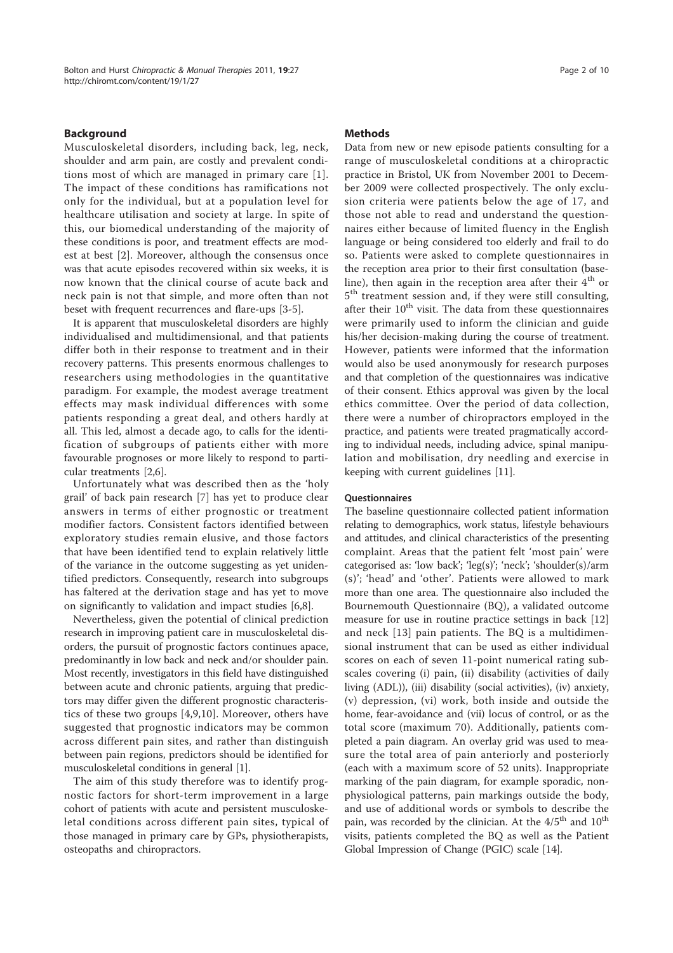## Background

Musculoskeletal disorders, including back, leg, neck, shoulder and arm pain, are costly and prevalent conditions most of which are managed in primary care [1]. The impact of these conditions has ramifications not only for the individual, but at a population level for healthcare utilisation and society at large. In spite of this, our biomedical understanding of the majority of these conditions is poor, and treatment effects are modest at best [2]. Moreover, although the consensus once was that acute episodes recovered within six weeks, it is now known that the clinical course of acute back and neck pain is not that simple, and more often than not beset with frequent recurrences and flare-ups [3-5].

It is apparent that musculoskeletal disorders are highly individualised and multidimensional, and that patients differ both in their response to treatment and in their recovery patterns. This presents enormous challenges to researchers using methodologies in the quantitative paradigm. For example, the modest average treatment effects may mask individual differences with some patients responding a great deal, and others hardly at all. This led, almost a decade ago, to calls for the identification of subgroups of patients either with more favourable prognoses or more likely to respond to particular treatments [2,6].

Unfortunately what was described then as the 'holy grail' of back pain research [7] has yet to produce clear answers in terms of either prognostic or treatment modifier factors. Consistent factors identified between exploratory studies remain elusive, and those factors that have been identified tend to explain relatively little of the variance in the outcome suggesting as yet unidentified predictors. Consequently, research into subgroups has faltered at the derivation stage and has yet to move on significantly to validation and impact studies [6,8].

Nevertheless, given the potential of clinical prediction research in improving patient care in musculoskeletal disorders, the pursuit of prognostic factors continues apace, predominantly in low back and neck and/or shoulder pain. Most recently, investigators in this field have distinguished between acute and chronic patients, arguing that predictors may differ given the different prognostic characteristics of these two groups [4,9,10]. Moreover, others have suggested that prognostic indicators may be common across different pain sites, and rather than distinguish between pain regions, predictors should be identified for musculoskeletal conditions in general [1].

The aim of this study therefore was to identify prognostic factors for short-term improvement in a large cohort of patients with acute and persistent musculoskeletal conditions across different pain sites, typical of those managed in primary care by GPs, physiotherapists, osteopaths and chiropractors.

## **Methods**

Data from new or new episode patients consulting for a range of musculoskeletal conditions at a chiropractic practice in Bristol, UK from November 2001 to December 2009 were collected prospectively. The only exclusion criteria were patients below the age of 17, and those not able to read and understand the questionnaires either because of limited fluency in the English language or being considered too elderly and frail to do so. Patients were asked to complete questionnaires in the reception area prior to their first consultation (baseline), then again in the reception area after their  $4<sup>th</sup>$  or 5<sup>th</sup> treatment session and, if they were still consulting, after their  $10^{th}$  visit. The data from these questionnaires were primarily used to inform the clinician and guide his/her decision-making during the course of treatment. However, patients were informed that the information would also be used anonymously for research purposes and that completion of the questionnaires was indicative of their consent. Ethics approval was given by the local ethics committee. Over the period of data collection, there were a number of chiropractors employed in the practice, and patients were treated pragmatically according to individual needs, including advice, spinal manipulation and mobilisation, dry needling and exercise in keeping with current guidelines [11].

### **Questionnaires**

The baseline questionnaire collected patient information relating to demographics, work status, lifestyle behaviours and attitudes, and clinical characteristics of the presenting complaint. Areas that the patient felt 'most pain' were categorised as: 'low back'; 'leg(s)'; 'neck'; 'shoulder(s)/arm (s)'; 'head' and 'other'. Patients were allowed to mark more than one area. The questionnaire also included the Bournemouth Questionnaire (BQ), a validated outcome measure for use in routine practice settings in back [12] and neck [13] pain patients. The BQ is a multidimensional instrument that can be used as either individual scores on each of seven 11-point numerical rating subscales covering (i) pain, (ii) disability (activities of daily living (ADL)), (iii) disability (social activities), (iv) anxiety, (v) depression, (vi) work, both inside and outside the home, fear-avoidance and (vii) locus of control, or as the total score (maximum 70). Additionally, patients completed a pain diagram. An overlay grid was used to measure the total area of pain anteriorly and posteriorly (each with a maximum score of 52 units). Inappropriate marking of the pain diagram, for example sporadic, nonphysiological patterns, pain markings outside the body, and use of additional words or symbols to describe the pain, was recorded by the clinician. At the  $4/5<sup>th</sup>$  and  $10<sup>th</sup>$ visits, patients completed the BQ as well as the Patient Global Impression of Change (PGIC) scale [14].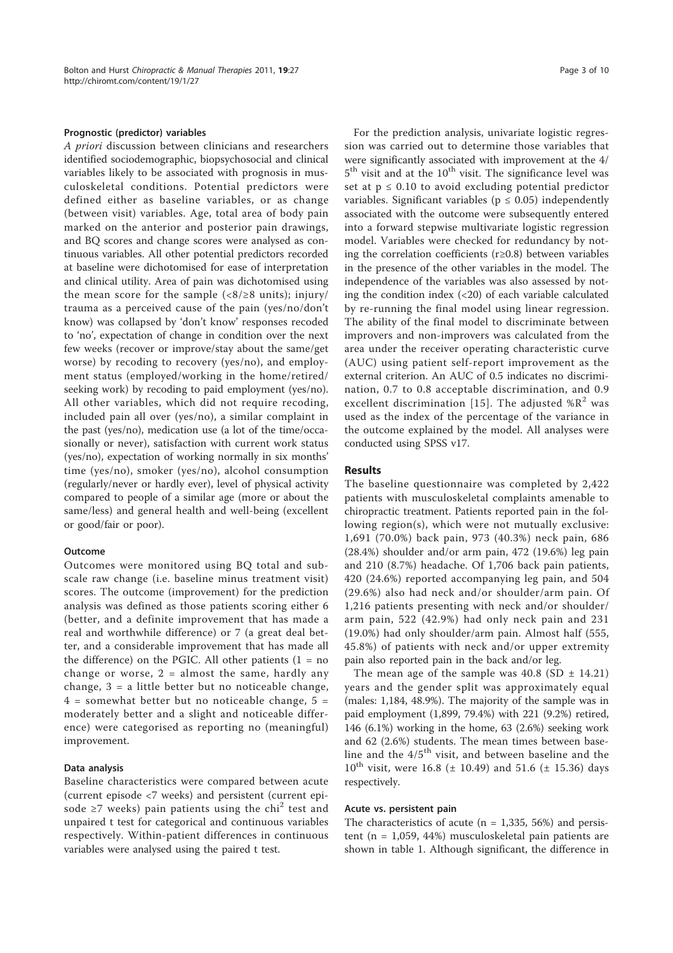### Prognostic (predictor) variables

A priori discussion between clinicians and researchers identified sociodemographic, biopsychosocial and clinical variables likely to be associated with prognosis in musculoskeletal conditions. Potential predictors were defined either as baseline variables, or as change (between visit) variables. Age, total area of body pain marked on the anterior and posterior pain drawings, and BQ scores and change scores were analysed as continuous variables. All other potential predictors recorded at baseline were dichotomised for ease of interpretation and clinical utility. Area of pain was dichotomised using the mean score for the sample  $\left\langle \langle 8/28 \rangle 8 \right\rangle$  units); injury/ trauma as a perceived cause of the pain (yes/no/don't know) was collapsed by 'don't know' responses recoded to 'no', expectation of change in condition over the next few weeks (recover or improve/stay about the same/get worse) by recoding to recovery (yes/no), and employment status (employed/working in the home/retired/ seeking work) by recoding to paid employment (yes/no). All other variables, which did not require recoding, included pain all over (yes/no), a similar complaint in the past (yes/no), medication use (a lot of the time/occasionally or never), satisfaction with current work status (yes/no), expectation of working normally in six months' time (yes/no), smoker (yes/no), alcohol consumption (regularly/never or hardly ever), level of physical activity compared to people of a similar age (more or about the same/less) and general health and well-being (excellent or good/fair or poor).

### **Outcome**

Outcomes were monitored using BQ total and subscale raw change (i.e. baseline minus treatment visit) scores. The outcome (improvement) for the prediction analysis was defined as those patients scoring either 6 (better, and a definite improvement that has made a real and worthwhile difference) or 7 (a great deal better, and a considerable improvement that has made all the difference) on the PGIC. All other patients  $(1 = no$ change or worse,  $2 =$  almost the same, hardly any change, 3 = a little better but no noticeable change,  $4 =$  somewhat better but no noticeable change,  $5 =$ moderately better and a slight and noticeable difference) were categorised as reporting no (meaningful) improvement.

### Data analysis

Baseline characteristics were compared between acute (current episode <7 weeks) and persistent (current episode ≥7 weeks) pain patients using the  $\text{chi}^2$  test and unpaired t test for categorical and continuous variables respectively. Within-patient differences in continuous variables were analysed using the paired t test.

For the prediction analysis, univariate logistic regression was carried out to determine those variables that were significantly associated with improvement at the 4/ 5<sup>th</sup> visit and at the 10<sup>th</sup> visit. The significance level was set at  $p \le 0.10$  to avoid excluding potential predictor variables. Significant variables ( $p \le 0.05$ ) independently associated with the outcome were subsequently entered into a forward stepwise multivariate logistic regression model. Variables were checked for redundancy by noting the correlation coefficients (r≥0.8) between variables in the presence of the other variables in the model. The independence of the variables was also assessed by noting the condition index  $( $20$ )$  of each variable calculated by re-running the final model using linear regression. The ability of the final model to discriminate between improvers and non-improvers was calculated from the area under the receiver operating characteristic curve (AUC) using patient self-report improvement as the external criterion. An AUC of 0.5 indicates no discrimination, 0.7 to 0.8 acceptable discrimination, and 0.9 excellent discrimination [15]. The adjusted  $% \mathbb{R}^{2}$  was used as the index of the percentage of the variance in the outcome explained by the model. All analyses were conducted using SPSS v17.

### Results

The baseline questionnaire was completed by 2,422 patients with musculoskeletal complaints amenable to chiropractic treatment. Patients reported pain in the following region(s), which were not mutually exclusive: 1,691 (70.0%) back pain, 973 (40.3%) neck pain, 686 (28.4%) shoulder and/or arm pain, 472 (19.6%) leg pain and 210 (8.7%) headache. Of 1,706 back pain patients, 420 (24.6%) reported accompanying leg pain, and 504 (29.6%) also had neck and/or shoulder/arm pain. Of 1,216 patients presenting with neck and/or shoulder/ arm pain, 522 (42.9%) had only neck pain and 231 (19.0%) had only shoulder/arm pain. Almost half (555, 45.8%) of patients with neck and/or upper extremity pain also reported pain in the back and/or leg.

The mean age of the sample was  $40.8$  (SD  $\pm$  14.21) years and the gender split was approximately equal (males: 1,184, 48.9%). The majority of the sample was in paid employment (1,899, 79.4%) with 221 (9.2%) retired, 146 (6.1%) working in the home, 63 (2.6%) seeking work and 62 (2.6%) students. The mean times between baseline and the  $4/5$ <sup>th</sup> visit, and between baseline and the  $10^{th}$  visit, were 16.8 ( $\pm$  10.49) and 51.6 ( $\pm$  15.36) days respectively.

### Acute vs. persistent pain

The characteristics of acute ( $n = 1,335, 56\%$ ) and persistent (n = 1,059, 44%) musculoskeletal pain patients are shown in table 1. Although significant, the difference in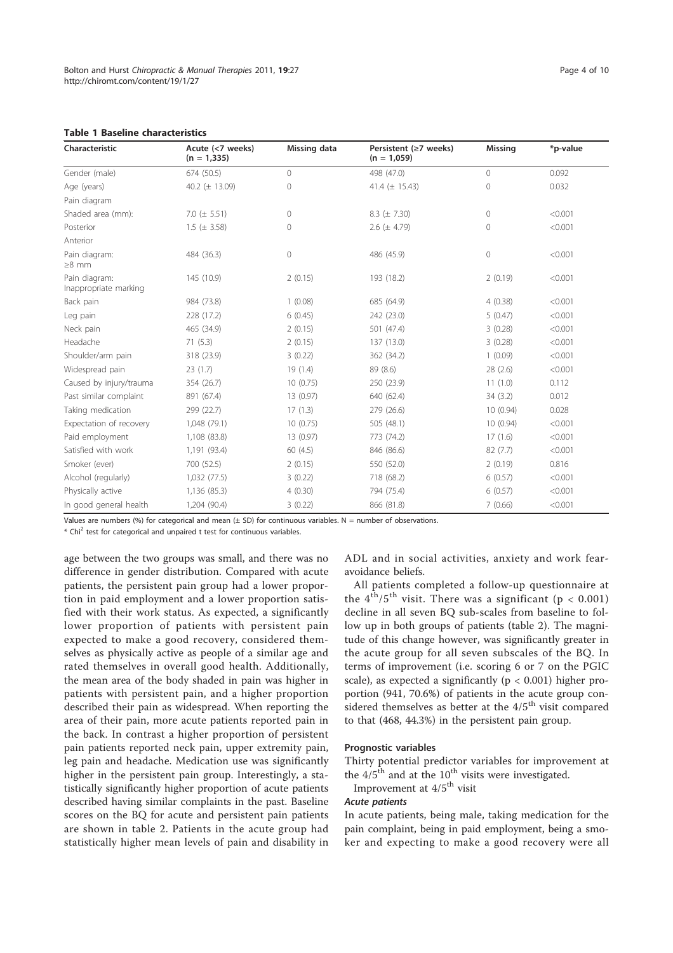| <b>Table 1 Baseline characteristics</b> |  |
|-----------------------------------------|--|
|-----------------------------------------|--|

| Characteristic                         | Acute (<7 weeks)<br>$(n = 1,335)$ | Missing data | Persistent (≥7 weeks)<br>$(n = 1,059)$ | <b>Missing</b> | *p-value |
|----------------------------------------|-----------------------------------|--------------|----------------------------------------|----------------|----------|
| Gender (male)                          | 674 (50.5)                        | $\Omega$     | 498 (47.0)                             | 0              | 0.092    |
| Age (years)                            | 40.2 ( $\pm$ 13.09)               | $\mathbf 0$  | 41.4 $(\pm 15.43)$                     | 0              | 0.032    |
| Pain diagram                           |                                   |              |                                        |                |          |
| Shaded area (mm):                      | 7.0 ( $\pm$ 5.51)                 | 0            | $8.3 (\pm 7.30)$                       | 0              | < 0.001  |
| Posterior                              | $1.5 (\pm 3.58)$                  | 0            | 2.6 $(\pm 4.79)$                       | 0              | < 0.001  |
| Anterior                               |                                   |              |                                        |                |          |
| Pain diagram:<br>$\geq 8$ mm           | 484 (36.3)                        | $\mathbf 0$  | 486 (45.9)                             | 0              | < 0.001  |
| Pain diagram:<br>Inappropriate marking | 145 (10.9)                        | 2(0.15)      | 193 (18.2)                             | 2(0.19)        | < 0.001  |
| Back pain                              | 984 (73.8)                        | 1(0.08)      | 685 (64.9)                             | 4(0.38)        | < 0.001  |
| Leg pain                               | 228 (17.2)                        | 6(0.45)      | 242 (23.0)                             | 5(0.47)        | < 0.001  |
| Neck pain                              | 465 (34.9)                        | 2(0.15)      | 501 (47.4)                             | 3(0.28)        | < 0.001  |
| Headache                               | 71(5.3)                           | 2(0.15)      | 137 (13.0)                             | 3(0.28)        | < 0.001  |
| Shoulder/arm pain                      | 318 (23.9)                        | 3(0.22)      | 362 (34.2)                             | 1(0.09)        | < 0.001  |
| Widespread pain                        | 23(1.7)                           | 19(1.4)      | 89 (8.6)                               | 28(2.6)        | < 0.001  |
| Caused by injury/trauma                | 354 (26.7)                        | 10(0.75)     | 250 (23.9)                             | 11(1.0)        | 0.112    |
| Past similar complaint                 | 891 (67.4)                        | 13 (0.97)    | 640 (62.4)                             | 34(3.2)        | 0.012    |
| Taking medication                      | 299 (22.7)                        | 17(1.3)      | 279 (26.6)                             | 10 (0.94)      | 0.028    |
| Expectation of recovery                | 1,048 (79.1)                      | 10(0.75)     | 505 (48.1)                             | 10(0.94)       | < 0.001  |
| Paid employment                        | 1,108 (83.8)                      | 13 (0.97)    | 773 (74.2)                             | 17(1.6)        | < 0.001  |
| Satisfied with work                    | 1,191 (93.4)                      | 60(4.5)      | 846 (86.6)                             | 82(7.7)        | < 0.001  |
| Smoker (ever)                          | 700 (52.5)                        | 2(0.15)      | 550 (52.0)                             | 2(0.19)        | 0.816    |
| Alcohol (regularly)                    | 1,032 (77.5)                      | 3(0.22)      | 718 (68.2)                             | 6(0.57)        | < 0.001  |
| Physically active                      | 1,136 (85.3)                      | 4(0.30)      | 794 (75.4)                             | 6(0.57)        | < 0.001  |
| In good general health                 | 1,204 (90.4)                      | 3(0.22)      | 866 (81.8)                             | 7(0.66)        | < 0.001  |

Values are numbers (%) for categorical and mean  $(\pm 5D)$  for continuous variables. N = number of observations.

\* Chi<sup>2</sup> test for categorical and unpaired t test for continuous variables.

age between the two groups was small, and there was no difference in gender distribution. Compared with acute patients, the persistent pain group had a lower proportion in paid employment and a lower proportion satisfied with their work status. As expected, a significantly lower proportion of patients with persistent pain expected to make a good recovery, considered themselves as physically active as people of a similar age and rated themselves in overall good health. Additionally, the mean area of the body shaded in pain was higher in patients with persistent pain, and a higher proportion described their pain as widespread. When reporting the area of their pain, more acute patients reported pain in the back. In contrast a higher proportion of persistent pain patients reported neck pain, upper extremity pain, leg pain and headache. Medication use was significantly higher in the persistent pain group. Interestingly, a statistically significantly higher proportion of acute patients described having similar complaints in the past. Baseline scores on the BQ for acute and persistent pain patients are shown in table 2. Patients in the acute group had statistically higher mean levels of pain and disability in

ADL and in social activities, anxiety and work fearavoidance beliefs.

All patients completed a follow-up questionnaire at the  $4^{th}/5^{th}$  visit. There was a significant (p < 0.001) decline in all seven BQ sub-scales from baseline to follow up in both groups of patients (table 2). The magnitude of this change however, was significantly greater in the acute group for all seven subscales of the BQ. In terms of improvement (i.e. scoring 6 or 7 on the PGIC scale), as expected a significantly ( $p < 0.001$ ) higher proportion (941, 70.6%) of patients in the acute group considered themselves as better at the  $4/5$ <sup>th</sup> visit compared to that (468, 44.3%) in the persistent pain group.

### Prognostic variables

Thirty potential predictor variables for improvement at the  $4/5^{\text{th}}$  and at the 10<sup>th</sup> visits were investigated.

Improvement at  $4/5^{\rm th}$  visit

# Acute patients

In acute patients, being male, taking medication for the pain complaint, being in paid employment, being a smoker and expecting to make a good recovery were all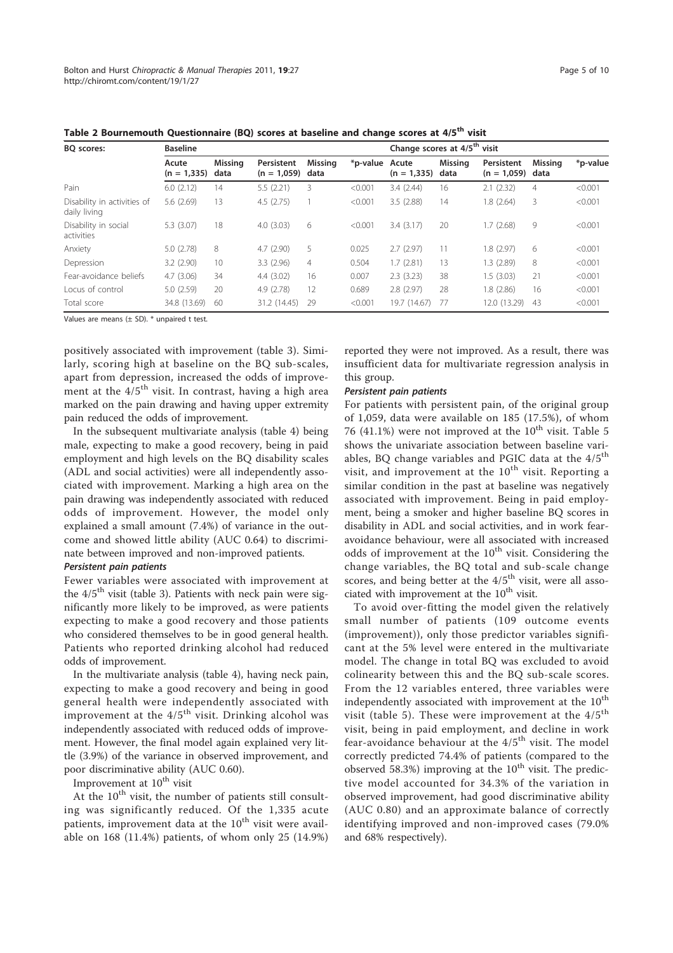| BQ scores:                                  | <b>Baseline</b>        |                 | Change scores at 4/5 <sup>th</sup> visit |                        |          |                        |                        |                             |                        |          |
|---------------------------------------------|------------------------|-----------------|------------------------------------------|------------------------|----------|------------------------|------------------------|-----------------------------|------------------------|----------|
|                                             | Acute<br>$(n = 1,335)$ | Missing<br>data | Persistent<br>$(n = 1,059)$              | <b>Missing</b><br>data | *p-value | Acute<br>$(n = 1,335)$ | <b>Missing</b><br>data | Persistent<br>$(n = 1,059)$ | <b>Missing</b><br>data | *p-value |
| Pain                                        | 6.0(2.12)              | 14              | 5.5(2.21)                                | 3                      | < 0.001  | 3.4(2.44)              | 16                     | 2.1(2.32)                   | $\overline{4}$         | < 0.001  |
| Disability in activities of<br>daily living | 5.6(2.69)              | 13              | 4.5(2.75)                                |                        | < 0.001  | 3.5(2.88)              | 14                     | .8(2.64)                    | 3                      | < 0.001  |
| Disability in social<br>activities          | 5.3(3.07)              | 18              | 4.0(3.03)                                | 6                      | < 0.001  | 3.4(3.17)              | 20                     | 1.7(2.68)                   | 9                      | < 0.001  |
| Anxiety                                     | 5.0(2.78)              | 8               | 4.7(2.90)                                | 5                      | 0.025    | 2.7(2.97)              | 11                     | 1.8 (2.97)                  | 6                      | < 0.001  |
| Depression                                  | 3.2(2.90)              | 10              | 3.3(2.96)                                | 4                      | 0.504    | 1.7(2.81)              | 13                     | 1.3 (2.89)                  | 8                      | < 0.001  |
| Fear-avoidance beliefs                      | 4.7(3.06)              | 34              | 4.4(3.02)                                | 16                     | 0.007    | 2.3(3.23)              | 38                     | 1.5(3.03)                   | 21                     | < 0.001  |
| Locus of control                            | 5.0(2.59)              | 20              | 4.9(2.78)                                | 12                     | 0.689    | 2.8(2.97)              | 28                     | 1.8 (2.86)                  | 16                     | < 0.001  |
| Total score                                 | 34.8 (13.69)           | 60              | 31.2 (14.45)                             | 29                     | < 0.001  | 19.7 (14.67)           | - 77                   | 12.0 (13.29)                | 43                     | < 0.001  |

Table 2 Bournemouth Questionnaire (BQ) scores at baseline and change scores at 4/5<sup>th</sup> visit

Values are means  $(\pm$  SD).  $*$  unpaired t test.

positively associated with improvement (table 3). Similarly, scoring high at baseline on the BQ sub-scales, apart from depression, increased the odds of improvement at the  $4/5$ <sup>th</sup> visit. In contrast, having a high area marked on the pain drawing and having upper extremity pain reduced the odds of improvement.

In the subsequent multivariate analysis (table 4) being male, expecting to make a good recovery, being in paid employment and high levels on the BQ disability scales (ADL and social activities) were all independently associated with improvement. Marking a high area on the pain drawing was independently associated with reduced odds of improvement. However, the model only explained a small amount (7.4%) of variance in the outcome and showed little ability (AUC 0.64) to discriminate between improved and non-improved patients.

### Persistent pain patients

Fewer variables were associated with improvement at the  $4/5$ <sup>th</sup> visit (table 3). Patients with neck pain were significantly more likely to be improved, as were patients expecting to make a good recovery and those patients who considered themselves to be in good general health. Patients who reported drinking alcohol had reduced odds of improvement.

In the multivariate analysis (table 4), having neck pain, expecting to make a good recovery and being in good general health were independently associated with improvement at the  $4/5$ <sup>th</sup> visit. Drinking alcohol was independently associated with reduced odds of improvement. However, the final model again explained very little (3.9%) of the variance in observed improvement, and poor discriminative ability (AUC 0.60).

Improvement at 10<sup>th</sup> visit

At the  $10^{th}$  visit, the number of patients still consulting was significantly reduced. Of the 1,335 acute patients, improvement data at the  $10^{th}$  visit were available on 168 (11.4%) patients, of whom only 25 (14.9%)

reported they were not improved. As a result, there was insufficient data for multivariate regression analysis in this group.

### Persistent pain patients

For patients with persistent pain, of the original group of 1,059, data were available on 185 (17.5%), of whom 76 (41.1%) were not improved at the  $10^{th}$  visit. Table 5 shows the univariate association between baseline variables, BQ change variables and PGIC data at the  $4/5^{\text{th}}$ visit, and improvement at the  $10^{th}$  visit. Reporting a similar condition in the past at baseline was negatively associated with improvement. Being in paid employment, being a smoker and higher baseline BQ scores in disability in ADL and social activities, and in work fearavoidance behaviour, were all associated with increased odds of improvement at the  $10^{th}$  visit. Considering the change variables, the BQ total and sub-scale change scores, and being better at the  $4/5$ <sup>th</sup> visit, were all associated with improvement at the  $10^{th}$  visit.

To avoid over-fitting the model given the relatively small number of patients (109 outcome events (improvement)), only those predictor variables significant at the 5% level were entered in the multivariate model. The change in total BQ was excluded to avoid colinearity between this and the BQ sub-scale scores. From the 12 variables entered, three variables were independently associated with improvement at the  $10^{th}$ visit (table 5). These were improvement at the  $4/5$ <sup>th</sup> visit, being in paid employment, and decline in work fear-avoidance behaviour at the 4/5<sup>th</sup> visit. The model correctly predicted 74.4% of patients (compared to the observed 58.3%) improving at the  $10^{th}$  visit. The predictive model accounted for 34.3% of the variation in observed improvement, had good discriminative ability (AUC 0.80) and an approximate balance of correctly identifying improved and non-improved cases (79.0% and 68% respectively).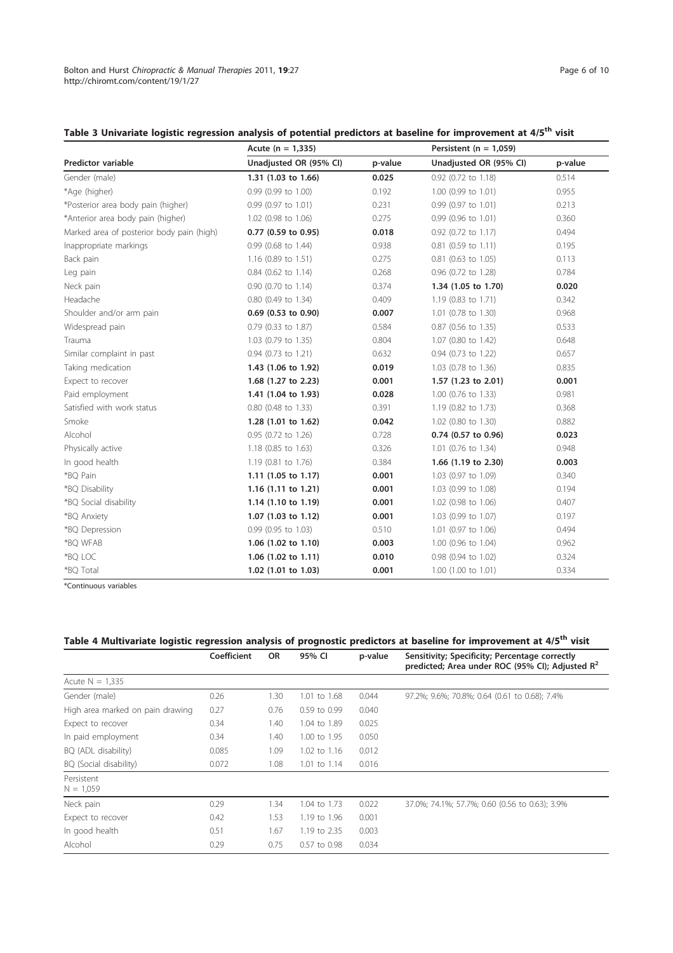# Table 3 Univariate logistic regression analysis of potential predictors at baseline for improvement at 4/5<sup>th</sup> visit

|                                           | Acute ( $n = 1,335$ )  |         | Persistent ( $n = 1,059$ ) |         |  |
|-------------------------------------------|------------------------|---------|----------------------------|---------|--|
| Predictor variable                        | Unadjusted OR (95% CI) | p-value | Unadjusted OR (95% CI)     | p-value |  |
| Gender (male)                             | 1.31 (1.03 to 1.66)    | 0.025   | 0.92 (0.72 to 1.18)        | 0.514   |  |
| *Age (higher)                             | 0.99 (0.99 to 1.00)    | 0.192   | 1.00 (0.99 to 1.01)        | 0.955   |  |
| *Posterior area body pain (higher)        | 0.99 (0.97 to 1.01)    | 0.231   | 0.99 (0.97 to 1.01)        | 0.213   |  |
| *Anterior area body pain (higher)         | 1.02 (0.98 to 1.06)    | 0.275   | 0.99 (0.96 to 1.01)        | 0.360   |  |
| Marked area of posterior body pain (high) | 0.77 (0.59 to 0.95)    | 0.018   | 0.92 (0.72 to 1.17)        | 0.494   |  |
| Inappropriate markings                    | 0.99 (0.68 to 1.44)    | 0.938   | $0.81$ (0.59 to 1.11)      | 0.195   |  |
| Back pain                                 | 1.16 (0.89 to 1.51)    | 0.275   | 0.81 (0.63 to 1.05)        | 0.113   |  |
| Leg pain                                  | 0.84 (0.62 to 1.14)    | 0.268   | 0.96 (0.72 to 1.28)        | 0.784   |  |
| Neck pain                                 | $0.90$ (0.70 to 1.14)  | 0.374   | 1.34 (1.05 to 1.70)        | 0.020   |  |
| Headache                                  | 0.80 (0.49 to 1.34)    | 0.409   | 1.19 (0.83 to 1.71)        | 0.342   |  |
| Shoulder and/or arm pain                  | 0.69 (0.53 to 0.90)    | 0.007   | 1.01 (0.78 to 1.30)        | 0.968   |  |
| Widespread pain                           | 0.79 (0.33 to 1.87)    | 0.584   | 0.87 (0.56 to 1.35)        | 0.533   |  |
| Trauma                                    | 1.03 (0.79 to 1.35)    | 0.804   | 1.07 (0.80 to 1.42)        | 0.648   |  |
| Similar complaint in past                 | 0.94 (0.73 to 1.21)    | 0.632   | 0.94 (0.73 to 1.22)        | 0.657   |  |
| Taking medication                         | 1.43 (1.06 to 1.92)    | 0.019   | 1.03 (0.78 to 1.36)        | 0.835   |  |
| Expect to recover                         | 1.68 (1.27 to 2.23)    | 0.001   | 1.57 (1.23 to 2.01)        | 0.001   |  |
| Paid employment                           | 1.41 (1.04 to 1.93)    | 0.028   | 1.00 (0.76 to 1.33)        | 0.981   |  |
| Satisfied with work status                | 0.80 (0.48 to 1.33)    | 0.391   | 1.19 (0.82 to 1.73)        | 0.368   |  |
| Smoke                                     | 1.28 (1.01 to 1.62)    | 0.042   | 1.02 (0.80 to 1.30)        | 0.882   |  |
| Alcohol                                   | 0.95 (0.72 to 1.26)    | 0.728   | 0.74 (0.57 to 0.96)        | 0.023   |  |
| Physically active                         | 1.18 (0.85 to 1.63)    | 0.326   | 1.01 (0.76 to 1.34)        | 0.948   |  |
| In good health                            | 1.19 (0.81 to 1.76)    | 0.384   | 1.66 (1.19 to 2.30)        | 0.003   |  |
| *BQ Pain                                  | 1.11 (1.05 to 1.17)    | 0.001   | 1.03 (0.97 to 1.09)        | 0.340   |  |
| *BQ Disability                            | 1.16 (1.11 to 1.21)    | 0.001   | 1.03 (0.99 to 1.08)        | 0.194   |  |
| *BQ Social disability                     | 1.14 (1.10 to 1.19)    | 0.001   | 1.02 (0.98 to 1.06)        | 0.407   |  |
| *BQ Anxiety                               | 1.07 (1.03 to 1.12)    | 0.001   | 1.03 (0.99 to 1.07)        | 0.197   |  |
| *BQ Depression                            | 0.99 (0.95 to 1.03)    | 0.510   | 1.01 (0.97 to 1.06)        | 0.494   |  |
| *BQ WFAB                                  | 1.06 (1.02 to 1.10)    | 0.003   | 1.00 (0.96 to 1.04)        | 0.962   |  |
| *BQ LOC                                   | 1.06 (1.02 to 1.11)    | 0.010   | 0.98 (0.94 to 1.02)        | 0.324   |  |
| *BQ Total                                 | 1.02 (1.01 to 1.03)    | 0.001   | 1.00 (1.00 to 1.01)        | 0.334   |  |

\*Continuous variables

# Table 4 Multivariate logistic regression analysis of prognostic predictors at baseline for improvement at 4/5<sup>th</sup> visit

|                                  | Coefficient | <b>OR</b> | 95% CI       | p-value | Sensitivity; Specificity; Percentage correctly<br>predicted; Area under ROC (95% CI); Adjusted $R^2$ |
|----------------------------------|-------------|-----------|--------------|---------|------------------------------------------------------------------------------------------------------|
| Acute $N = 1,335$                |             |           |              |         |                                                                                                      |
| Gender (male)                    | 0.26        | 1.30      | 1.01 to 1.68 | 0.044   | 97.2%; 9.6%; 70.8%; 0.64 (0.61 to 0.68); 7.4%                                                        |
| High area marked on pain drawing | 0.27        | 0.76      | 0.59 to 0.99 | 0.040   |                                                                                                      |
| Expect to recover                | 0.34        | 1.40      | 1.04 to 1.89 | 0.025   |                                                                                                      |
| In paid employment               | 0.34        | 1.40      | 1.00 to 1.95 | 0.050   |                                                                                                      |
| BQ (ADL disability)              | 0.085       | 1.09      | 1.02 to 1.16 | 0.012   |                                                                                                      |
| BQ (Social disability)           | 0.072       | 1.08      | 1.01 to 1.14 | 0.016   |                                                                                                      |
| Persistent<br>$N = 1,059$        |             |           |              |         |                                                                                                      |
| Neck pain                        | 0.29        | 1.34      | 1.04 to 1.73 | 0.022   | 37.0%; 74.1%; 57.7%; 0.60 (0.56 to 0.63); 3.9%                                                       |
| Expect to recover                | 0.42        | 1.53      | 1.19 to 1.96 | 0.001   |                                                                                                      |
| In good health                   | 0.51        | 1.67      | 1.19 to 2.35 | 0.003   |                                                                                                      |
| Alcohol                          | 0.29        | 0.75      | 0.57 to 0.98 | 0.034   |                                                                                                      |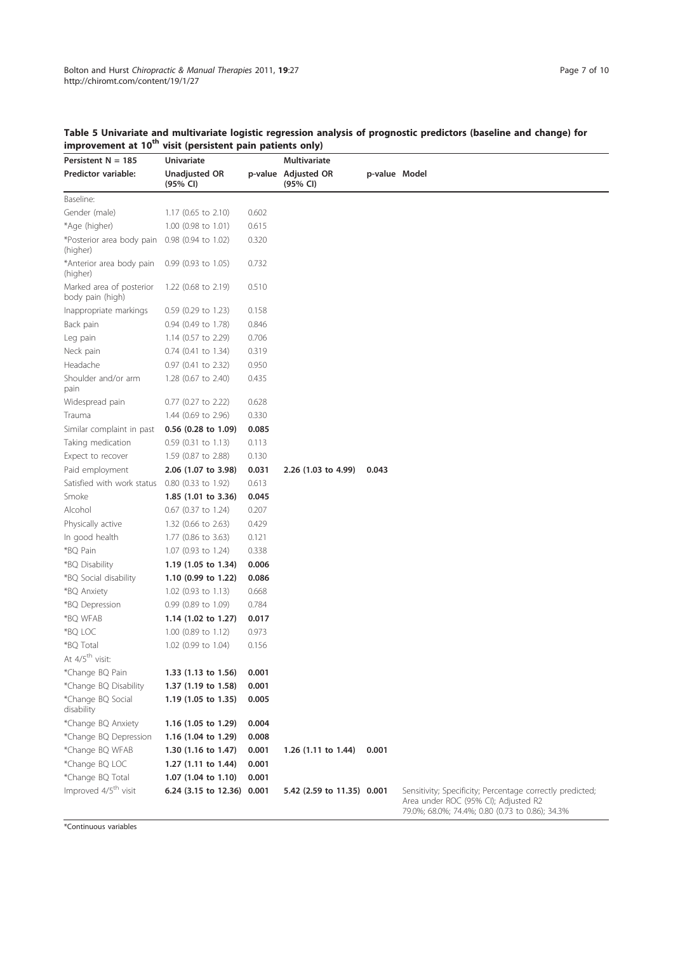| Persistent $N = 185$                         | Univariate                       |       | <b>Multivariate</b>             |               |                                                                                                                                                      |
|----------------------------------------------|----------------------------------|-------|---------------------------------|---------------|------------------------------------------------------------------------------------------------------------------------------------------------------|
| Predictor variable:                          | <b>Unadjusted OR</b><br>(95% CI) |       | p-value Adjusted OR<br>(95% CI) | p-value Model |                                                                                                                                                      |
| Baseline:                                    |                                  |       |                                 |               |                                                                                                                                                      |
| Gender (male)                                | $1.17$ (0.65 to 2.10)            | 0.602 |                                 |               |                                                                                                                                                      |
| *Age (higher)                                | 1.00 (0.98 to 1.01)              | 0.615 |                                 |               |                                                                                                                                                      |
| *Posterior area body pain<br>(higher)        | 0.98 (0.94 to 1.02)              | 0.320 |                                 |               |                                                                                                                                                      |
| *Anterior area body pain<br>(higher)         | 0.99 (0.93 to 1.05)              | 0.732 |                                 |               |                                                                                                                                                      |
| Marked area of posterior<br>body pain (high) | 1.22 (0.68 to 2.19)              | 0.510 |                                 |               |                                                                                                                                                      |
| Inappropriate markings                       | 0.59 (0.29 to 1.23)              | 0.158 |                                 |               |                                                                                                                                                      |
| Back pain                                    | 0.94 (0.49 to 1.78)              | 0.846 |                                 |               |                                                                                                                                                      |
| Leg pain                                     | 1.14 $(0.57$ to 2.29)            | 0.706 |                                 |               |                                                                                                                                                      |
| Neck pain                                    | $0.74$ (0.41 to 1.34)            | 0.319 |                                 |               |                                                                                                                                                      |
| Headache                                     | 0.97 (0.41 to 2.32)              | 0.950 |                                 |               |                                                                                                                                                      |
| Shoulder and/or arm<br>pain                  | 1.28 (0.67 to 2.40)              | 0.435 |                                 |               |                                                                                                                                                      |
| Widespread pain                              | 0.77 (0.27 to 2.22)              | 0.628 |                                 |               |                                                                                                                                                      |
| Trauma                                       | 1.44 (0.69 to 2.96)              | 0.330 |                                 |               |                                                                                                                                                      |
| Similar complaint in past                    | 0.56 (0.28 to 1.09)              | 0.085 |                                 |               |                                                                                                                                                      |
| Taking medication                            | $0.59$ (0.31 to 1.13)            | 0.113 |                                 |               |                                                                                                                                                      |
| Expect to recover                            | 1.59 (0.87 to 2.88)              | 0.130 |                                 |               |                                                                                                                                                      |
| Paid employment                              | 2.06 (1.07 to 3.98)              | 0.031 | 2.26 (1.03 to 4.99)             | 0.043         |                                                                                                                                                      |
| Satisfied with work status                   | 0.80 (0.33 to 1.92)              | 0.613 |                                 |               |                                                                                                                                                      |
| Smoke                                        | 1.85 (1.01 to 3.36)              | 0.045 |                                 |               |                                                                                                                                                      |
| Alcohol                                      | 0.67 (0.37 to 1.24)              | 0.207 |                                 |               |                                                                                                                                                      |
| Physically active                            | 1.32 (0.66 to 2.63)              | 0.429 |                                 |               |                                                                                                                                                      |
| In good health                               | 1.77 (0.86 to 3.63)              | 0.121 |                                 |               |                                                                                                                                                      |
| *BQ Pain                                     | 1.07 (0.93 to 1.24)              | 0.338 |                                 |               |                                                                                                                                                      |
| *BQ Disability                               | 1.19 (1.05 to 1.34)              | 0.006 |                                 |               |                                                                                                                                                      |
| *BQ Social disability                        | 1.10 (0.99 to 1.22)              | 0.086 |                                 |               |                                                                                                                                                      |
| *BQ Anxiety                                  | $1.02$ (0.93 to 1.13)            | 0.668 |                                 |               |                                                                                                                                                      |
| *BQ Depression                               | $0.99$ (0.89 to 1.09)            | 0.784 |                                 |               |                                                                                                                                                      |
| *BQ WFAB                                     | 1.14 (1.02 to 1.27)              | 0.017 |                                 |               |                                                                                                                                                      |
| *BQ LOC                                      | 1.00 (0.89 to 1.12)              | 0.973 |                                 |               |                                                                                                                                                      |
| *BQ Total                                    | 1.02 (0.99 to 1.04)              | 0.156 |                                 |               |                                                                                                                                                      |
| At 4/5 <sup>th</sup> visit:                  |                                  |       |                                 |               |                                                                                                                                                      |
| *Change BQ Pain                              | 1.33 (1.13 to 1.56)              | 0.001 |                                 |               |                                                                                                                                                      |
| *Change BQ Disability                        | 1.37 (1.19 to 1.58)              | 0.001 |                                 |               |                                                                                                                                                      |
| *Change BQ Social<br>disability              | 1.19 (1.05 to 1.35)              | 0.005 |                                 |               |                                                                                                                                                      |
| *Change BQ Anxiety                           | 1.16 (1.05 to 1.29)              | 0.004 |                                 |               |                                                                                                                                                      |
| *Change BQ Depression                        | 1.16 (1.04 to 1.29)              | 0.008 |                                 |               |                                                                                                                                                      |
| *Change BQ WFAB                              | 1.30 (1.16 to 1.47)              | 0.001 | 1.26 $(1.11$ to 1.44)           | 0.001         |                                                                                                                                                      |
| *Change BQ LOC                               | 1.27 (1.11 to 1.44)              | 0.001 |                                 |               |                                                                                                                                                      |
| *Change BQ Total                             | 1.07 (1.04 to 1.10)              | 0.001 |                                 |               |                                                                                                                                                      |
| Improved 4/5 <sup>th</sup> visit             | 6.24 (3.15 to 12.36) 0.001       |       | 5.42 (2.59 to 11.35) 0.001      |               | Sensitivity; Specificity; Percentage correctly predicted;<br>Area under ROC (95% CI); Adjusted R2<br>79.0%; 68.0%; 74.4%; 0.80 (0.73 to 0.86); 34.3% |

### Table 5 Univariate and multivariate logistic regression analysis of prognostic predictors (baseline and change) for improvement at 10<sup>th</sup> visit (persistent pain patients only)

\*Continuous variables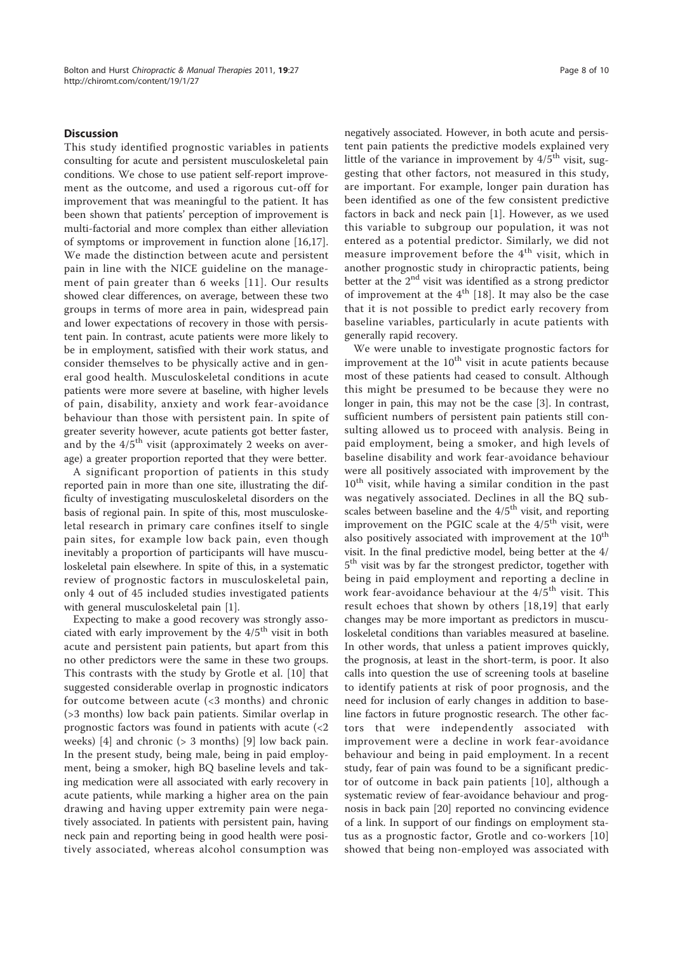### **Discussion**

This study identified prognostic variables in patients consulting for acute and persistent musculoskeletal pain conditions. We chose to use patient self-report improvement as the outcome, and used a rigorous cut-off for improvement that was meaningful to the patient. It has been shown that patients' perception of improvement is multi-factorial and more complex than either alleviation of symptoms or improvement in function alone [16,17]. We made the distinction between acute and persistent pain in line with the NICE guideline on the management of pain greater than 6 weeks [11]. Our results showed clear differences, on average, between these two groups in terms of more area in pain, widespread pain and lower expectations of recovery in those with persistent pain. In contrast, acute patients were more likely to be in employment, satisfied with their work status, and consider themselves to be physically active and in general good health. Musculoskeletal conditions in acute patients were more severe at baseline, with higher levels of pain, disability, anxiety and work fear-avoidance behaviour than those with persistent pain. In spite of greater severity however, acute patients got better faster, and by the  $4/5$ <sup>th</sup> visit (approximately 2 weeks on average) a greater proportion reported that they were better.

A significant proportion of patients in this study reported pain in more than one site, illustrating the difficulty of investigating musculoskeletal disorders on the basis of regional pain. In spite of this, most musculoskeletal research in primary care confines itself to single pain sites, for example low back pain, even though inevitably a proportion of participants will have musculoskeletal pain elsewhere. In spite of this, in a systematic review of prognostic factors in musculoskeletal pain, only 4 out of 45 included studies investigated patients with general musculoskeletal pain [1].

Expecting to make a good recovery was strongly associated with early improvement by the  $4/5^{\rm th}$  visit in both acute and persistent pain patients, but apart from this no other predictors were the same in these two groups. This contrasts with the study by Grotle et al. [10] that suggested considerable overlap in prognostic indicators for outcome between acute (<3 months) and chronic (>3 months) low back pain patients. Similar overlap in prognostic factors was found in patients with acute (<2 weeks) [4] and chronic (> 3 months) [9] low back pain. In the present study, being male, being in paid employment, being a smoker, high BQ baseline levels and taking medication were all associated with early recovery in acute patients, while marking a higher area on the pain drawing and having upper extremity pain were negatively associated. In patients with persistent pain, having neck pain and reporting being in good health were positively associated, whereas alcohol consumption was

negatively associated. However, in both acute and persistent pain patients the predictive models explained very little of the variance in improvement by  $4/5$ <sup>th</sup> visit, suggesting that other factors, not measured in this study, are important. For example, longer pain duration has been identified as one of the few consistent predictive factors in back and neck pain [1]. However, as we used this variable to subgroup our population, it was not entered as a potential predictor. Similarly, we did not measure improvement before the  $4<sup>th</sup>$  visit, which in another prognostic study in chiropractic patients, being better at the 2<sup>nd</sup> visit was identified as a strong predictor of improvement at the  $4^{th}$  [18]. It may also be the case that it is not possible to predict early recovery from baseline variables, particularly in acute patients with generally rapid recovery.

We were unable to investigate prognostic factors for improvement at the  $10^{th}$  visit in acute patients because most of these patients had ceased to consult. Although this might be presumed to be because they were no longer in pain, this may not be the case [3]. In contrast, sufficient numbers of persistent pain patients still consulting allowed us to proceed with analysis. Being in paid employment, being a smoker, and high levels of baseline disability and work fear-avoidance behaviour were all positively associated with improvement by the  $10<sup>th</sup>$  visit, while having a similar condition in the past was negatively associated. Declines in all the BQ subscales between baseline and the  $4/5$ <sup>th</sup> visit, and reporting improvement on the PGIC scale at the  $4/5$ <sup>th</sup> visit, were also positively associated with improvement at the  $10^{th}$ visit. In the final predictive model, being better at the 4/ 5<sup>th</sup> visit was by far the strongest predictor, together with being in paid employment and reporting a decline in work fear-avoidance behaviour at the  $4/5^{\text{th}}$  visit. This result echoes that shown by others [18,19] that early changes may be more important as predictors in musculoskeletal conditions than variables measured at baseline. In other words, that unless a patient improves quickly, the prognosis, at least in the short-term, is poor. It also calls into question the use of screening tools at baseline to identify patients at risk of poor prognosis, and the need for inclusion of early changes in addition to baseline factors in future prognostic research. The other factors that were independently associated with improvement were a decline in work fear-avoidance behaviour and being in paid employment. In a recent study, fear of pain was found to be a significant predictor of outcome in back pain patients [10], although a systematic review of fear-avoidance behaviour and prognosis in back pain [20] reported no convincing evidence of a link. In support of our findings on employment status as a prognostic factor, Grotle and co-workers [10] showed that being non-employed was associated with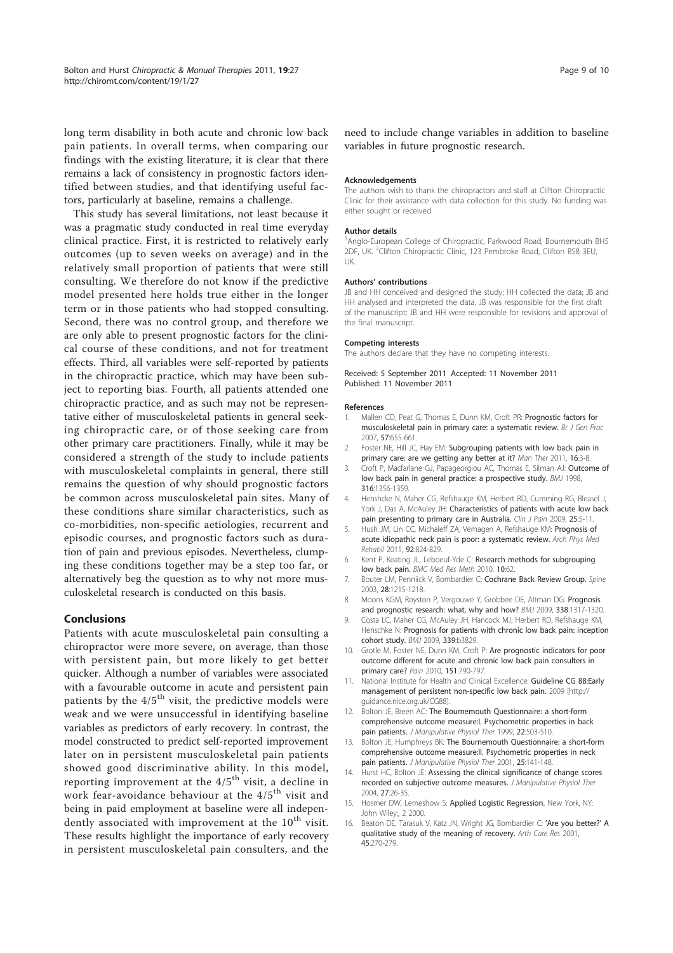long term disability in both acute and chronic low back pain patients. In overall terms, when comparing our findings with the existing literature, it is clear that there remains a lack of consistency in prognostic factors identified between studies, and that identifying useful factors, particularly at baseline, remains a challenge.

This study has several limitations, not least because it was a pragmatic study conducted in real time everyday clinical practice. First, it is restricted to relatively early outcomes (up to seven weeks on average) and in the relatively small proportion of patients that were still consulting. We therefore do not know if the predictive model presented here holds true either in the longer term or in those patients who had stopped consulting. Second, there was no control group, and therefore we are only able to present prognostic factors for the clinical course of these conditions, and not for treatment effects. Third, all variables were self-reported by patients in the chiropractic practice, which may have been subject to reporting bias. Fourth, all patients attended one chiropractic practice, and as such may not be representative either of musculoskeletal patients in general seeking chiropractic care, or of those seeking care from other primary care practitioners. Finally, while it may be considered a strength of the study to include patients with musculoskeletal complaints in general, there still remains the question of why should prognostic factors be common across musculoskeletal pain sites. Many of these conditions share similar characteristics, such as co-morbidities, non-specific aetiologies, recurrent and episodic courses, and prognostic factors such as duration of pain and previous episodes. Nevertheless, clumping these conditions together may be a step too far, or alternatively beg the question as to why not more musculoskeletal research is conducted on this basis.

### Conclusions

Patients with acute musculoskeletal pain consulting a chiropractor were more severe, on average, than those with persistent pain, but more likely to get better quicker. Although a number of variables were associated with a favourable outcome in acute and persistent pain patients by the  $4/5$ <sup>th</sup> visit, the predictive models were weak and we were unsuccessful in identifying baseline variables as predictors of early recovery. In contrast, the model constructed to predict self-reported improvement later on in persistent musculoskeletal pain patients showed good discriminative ability. In this model, reporting improvement at the  $4/5$ <sup>th</sup> visit, a decline in work fear-avoidance behaviour at the  $4/5$ <sup>th</sup> visit and being in paid employment at baseline were all independently associated with improvement at the  $10^{th}$  visit. These results highlight the importance of early recovery in persistent musculoskeletal pain consulters, and the

need to include change variables in addition to baseline variables in future prognostic research.

#### Acknowledgements

The authors wish to thank the chiropractors and staff at Clifton Chiropractic Clinic for their assistance with data collection for this study. No funding was either sought or received.

#### Author details

<sup>1</sup>Anglo-European College of Chiropractic, Parkwood Road, Bournemouth BH5 2DF, UK. <sup>2</sup>Clifton Chiropractic Clinic, 123 Pembroke Road, Clifton BS8 3EU, UK.

#### Authors' contributions

JB and HH conceived and designed the study; HH collected the data; JB and HH analysed and interpreted the data. JB was responsible for the first draft of the manuscript; JB and HH were responsible for revisions and approval of the final manuscript.

### Competing interests

The authors declare that they have no competing interests.

### Received: 5 September 2011 Accepted: 11 November 2011 Published: 11 November 2011

### References

- Mallen CD, Peat G, Thomas E, Dunn KM, Croft PR: Prognostic factors for musculoskeletal pain in primary care: a systematic review. Br J Gen Prac 2007, 57:655-661.
- 2. Foster NE, Hill JC, Hay EM: Subgrouping patients with low back pain in primary care: are we getting any better at it? Man Ther 2011, 16:3-8.
- 3. Croft P, Macfarlane GJ, Papageorgiou AC, Thomas E, Silman AJ: Outcome of low back pain in general practice: a prospective study. BMJ 1998, 316:1356-1359.
- 4. Henshcke N, Maher CG, Refshauge KM, Herbert RD, Cumming RG, Bleasel J, York J, Das A, McAuley JH: Characteristics of patients with acute low back pain presenting to primary care in Australia. Clin J Pain 2009, 25:5-11.
- 5. Hush JM, Lin CC, Michaleff ZA, Verhagen A, Refshauge KM: Prognosis of acute idiopathic neck pain is poor: a systematic review. Arch Phys Med Rehabil 2011, 92:824-829.
- 6. Kent P, Keating JL, Leboeuf-Yde C: Research methods for subgrouping low back pain. BMC Med Res Meth 2010. 10:62.
- 7. Bouter LM, Penniick V, Bombardier C: Cochrane Back Review Group. Spine 2003, 28:1215-1218.
- 8. Moons KGM, Royston P, Vergouwe Y, Grobbee DE, Altman DG: Prognosis and prognostic research: what, why and how? BMJ 2009, 338:1317-1320.
- 9. Costa LC, Maher CG, McAuley JH, Hancock MJ, Herbert RD, Refshauge KM, Henschke N: Prognosis for patients with chronic low back pain: inception cohort study. BMJ 2009, 339:b3829.
- 10. Grotle M, Foster NE, Dunn KM, Croft P: Are prognostic indicators for poor outcome different for acute and chronic low back pain consulters in primary care? Pain 2010, 151:790-797.
- 11. National Institute for Health and Clinical Excellence: Guideline CG 88:Early management of persistent non-specific low back pain. 2009 [http:// guidance.nice.org.uk/CG88].
- 12. Bolton JE, Breen AC: The Bournemouth Questionnaire: a short-form comprehensive outcome measure:I. Psychometric properties in back pain patients. J Manipulative Physiol Ther 1999, 22:503-510.
- 13. Bolton JE, Humphreys BK: The Bournemouth Questionnaire: a short-form comprehensive outcome measure:II. Psychometric properties in neck pain patients. J Manipulative Physiol Ther 2001, 25:141-148.
- 14. Hurst HC, Bolton JE: Assessing the clinical significance of change scores recorded on subjective outcome measures. J Manipulative Physiol Ther 2004, 27:26-35.
- 15. Hosmer DW, Lemeshow S: Applied Logistic Regression. New York, NY: John Wiley;, 2 2000.
- 16. Beaton DE, Tarasuk V, Katz JN, Wright JG, Bombardier C: 'Are you better?' A qualitative study of the meaning of recovery. Arth Care Res 2001, 45:270-279.